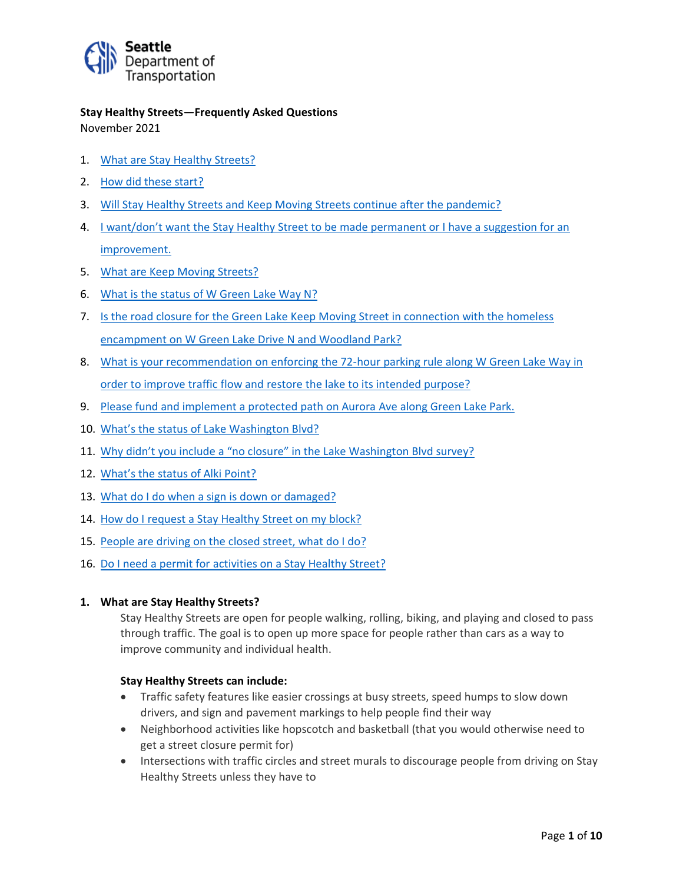

**Stay Healthy Streets—Frequently Asked Questions** November 2021

- 1. What are Stay Healthy Streets?
- 2. How did these start?
- 3. Will Stay Healthy Streets and Keep Moving Streets continue after the pandemic?
- 4. I want/don't want the Stay Healthy Street to be made permanent or I have a suggestion for an improvement.
- 5. What are Keep Moving Streets?
- 6. What is the status of W Green Lake Way N?
- 7. Is the road closure for the Green Lake Keep Moving Street in connection with the homeless encampment on W Green Lake Drive N and Woodland Park?
- 8. What is your recommendation on enforcing the 72-hour parking rule along W Green Lake Way in order to improve traffic flow and restore the lake to its intended purpose?
- 9. Please fund and implement a protected path on Aurora Ave along Green Lake Park.
- 10. What's the status of Lake Washington Blvd?
- 11. Why didn't you include a "no closure" in the Lake Washington Blvd survey?
- 12. What's the status of Alki Point?
- 13. What do I do when a sign is down or damaged?
- 14. How do I request a Stay Healthy Street on my block?
- 15. People are driving on the closed street, what do I do?
- 16. Do I need a permit for activities on a Stay Healthy Street?

#### **1. What are Stay Healthy Streets?**

Stay Healthy Streets are open for people walking, rolling, biking, and playing and closed to pass through traffic. The goal is to open up more space for people rather than cars as a way to improve community and individual health.

#### **Stay Healthy Streets can include:**

- Traffic safety features like easier crossings at busy streets, speed humps to slow down drivers, and sign and pavement markings to help people find their way
- Neighborhood activities like hopscotch and basketball (that you would otherwise need to get a street closure permit for)
- Intersections with traffic circles and street murals to discourage people from driving on Stay Healthy Streets unless they have to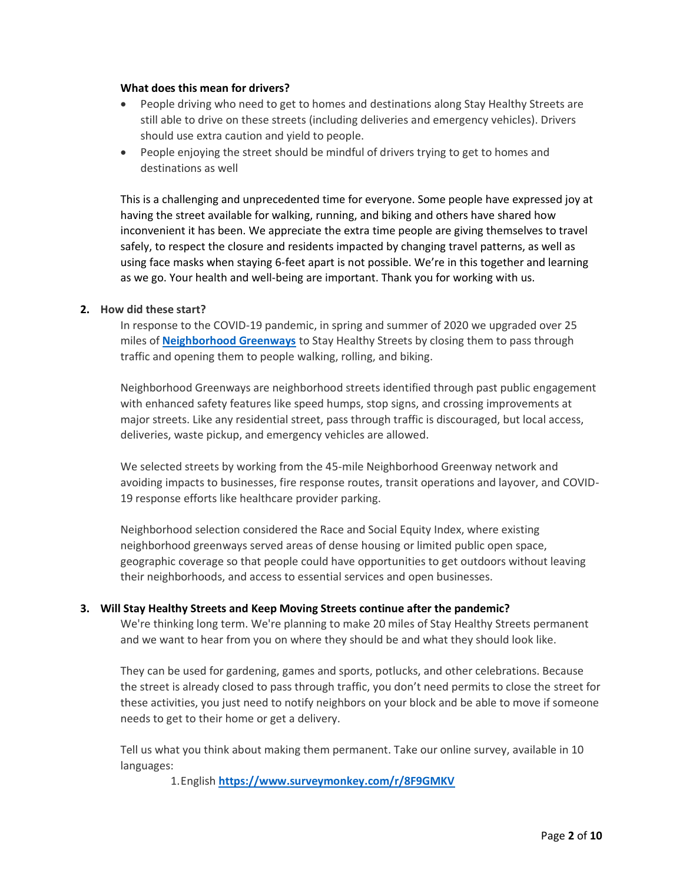#### **What does this mean for drivers?**

- People driving who need to get to homes and destinations along Stay Healthy Streets are still able to drive on these streets (including deliveries and emergency vehicles). Drivers should use extra caution and yield to people.
- People enjoying the street should be mindful of drivers trying to get to homes and destinations as well

This is a challenging and unprecedented time for everyone. Some people have expressed joy at having the street available for walking, running, and biking and others have shared how inconvenient it has been. We appreciate the extra time people are giving themselves to travel safely, to respect the closure and residents impacted by changing travel patterns, as well as using face masks when staying 6-feet apart is not possible. We're in this together and learning as we go. Your health and well-being are important. Thank you for working with us.

## **2. How did these start?**

In response to the COVID-19 pandemic, in spring and summer of 2020 we upgraded over 25 miles of **[Neighborhood Greenways](http://www.seattle.gov/transportation/projects-and-programs/programs/greenways-program)** to Stay Healthy Streets by closing them to pass through traffic and opening them to people walking, rolling, and biking.

Neighborhood Greenways are neighborhood streets identified through past public engagement with enhanced safety features like speed humps, stop signs, and crossing improvements at major streets. Like any residential street, pass through traffic is discouraged, but local access, deliveries, waste pickup, and emergency vehicles are allowed.

We selected streets by working from the 45-mile Neighborhood Greenway network and avoiding impacts to businesses, fire response routes, transit operations and layover, and COVID-19 response efforts like healthcare provider parking.

Neighborhood selection considered the Race and Social Equity Index, where existing neighborhood greenways served areas of dense housing or limited public open space, geographic coverage so that people could have opportunities to get outdoors without leaving their neighborhoods, and access to essential services and open businesses.

#### **3. Will Stay Healthy Streets and Keep Moving Streets continue after the pandemic?**

We're thinking long term. We're planning to make 20 miles of Stay Healthy Streets permanent and we want to hear from you on where they should be and what they should look like.

They can be used for gardening, games and sports, potlucks, and other celebrations. Because the street is already closed to pass through traffic, you don't need permits to close the street for these activities, you just need to notify neighbors on your block and be able to move if someone needs to get to their home or get a delivery.

Tell us what you think about making them permanent. Take our online survey, available in 10 languages:

1.English **<https://www.surveymonkey.com/r/8F9GMKV>**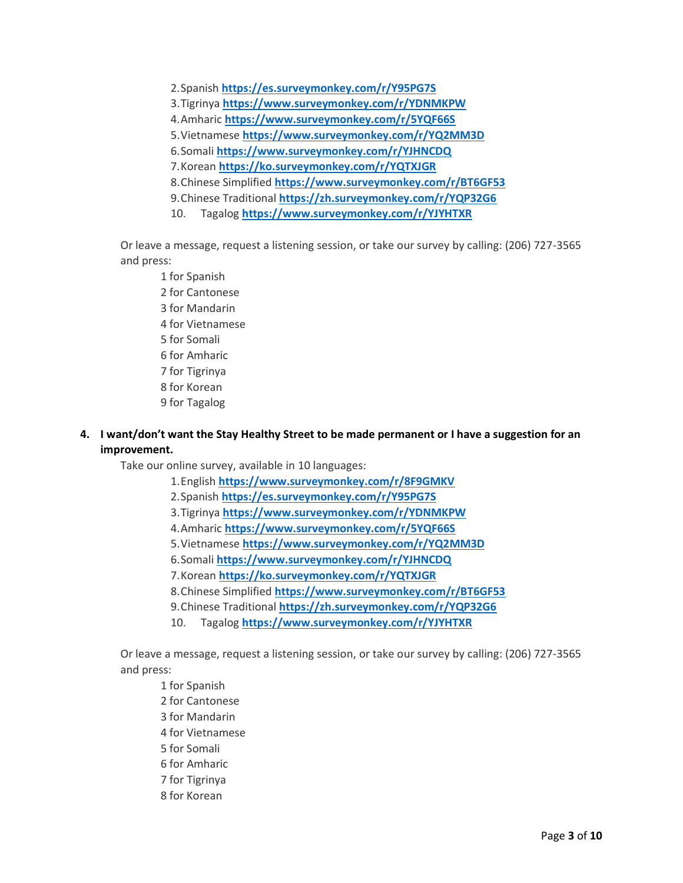2.Spanish **<https://es.surveymonkey.com/r/Y95PG7S>**

- 3.Tigrinya **<https://www.surveymonkey.com/r/YDNMKPW>**
- 4.Amharic **<https://www.surveymonkey.com/r/5YQF66S>**
- 5.Vietnamese **<https://www.surveymonkey.com/r/YQ2MM3D>**
- 6.Somali **<https://www.surveymonkey.com/r/YJHNCDQ>**
- 7.Korean **<https://ko.surveymonkey.com/r/YQTXJGR>**
- 8.Chinese Simplified **<https://www.surveymonkey.com/r/BT6GF53>**
- 9.Chinese Traditional **<https://zh.surveymonkey.com/r/YQP32G6>**
- 10. Tagalog **<https://www.surveymonkey.com/r/YJYHTXR>**

Or leave a message, request a listening session, or take our survey by calling: (206) 727-3565 and press:

- 1 for Spanish 2 for Cantonese 3 for Mandarin 4 for Vietnamese 5 for Somali 6 for Amharic 7 for Tigrinya 8 for Korean 9 for Tagalog
- **4. I want/don't want the Stay Healthy Street to be made permanent or I have a suggestion for an improvement.**

Take our online survey, available in 10 languages:

- 1.English **<https://www.surveymonkey.com/r/8F9GMKV>**
- 2.Spanish **<https://es.surveymonkey.com/r/Y95PG7S>**
- 3.Tigrinya **<https://www.surveymonkey.com/r/YDNMKPW>**
- 4.Amharic **<https://www.surveymonkey.com/r/5YQF66S>**
- 5.Vietnamese **<https://www.surveymonkey.com/r/YQ2MM3D>**
- 6.Somali **<https://www.surveymonkey.com/r/YJHNCDQ>**
- 7.Korean **<https://ko.surveymonkey.com/r/YQTXJGR>**
- 8.Chinese Simplified **<https://www.surveymonkey.com/r/BT6GF53>**
- 9.Chinese Traditional **<https://zh.surveymonkey.com/r/YQP32G6>**
- 10. Tagalog **<https://www.surveymonkey.com/r/YJYHTXR>**

Or leave a message, request a listening session, or take our survey by calling: (206) 727-3565 and press:

1 for Spanish 2 for Cantonese 3 for Mandarin 4 for Vietnamese 5 for Somali 6 for Amharic 7 for Tigrinya 8 for Korean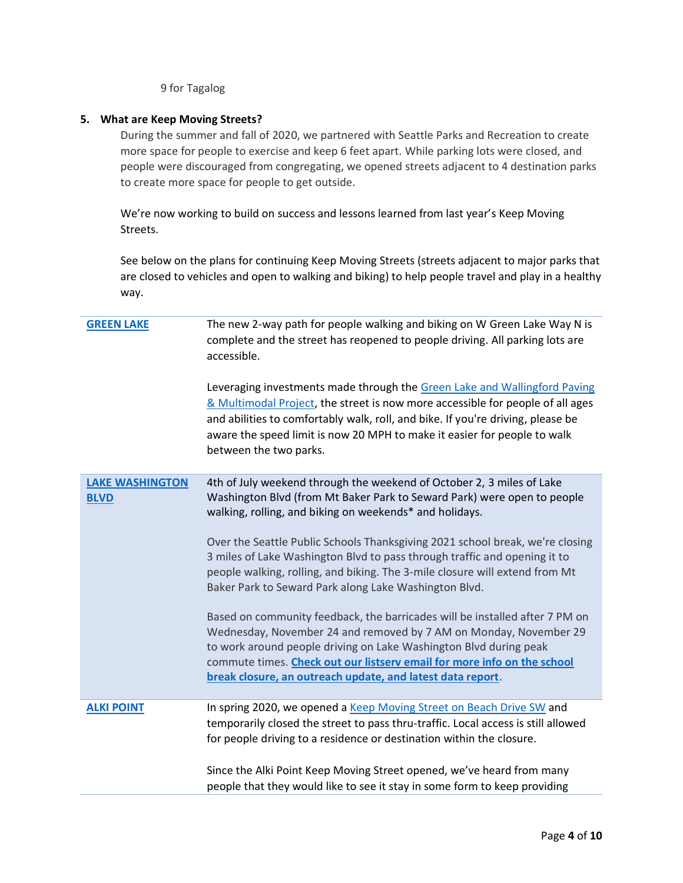9 for Tagalog

# **5. What are Keep Moving Streets?**

During the summer and fall of 2020, we partnered with Seattle Parks and Recreation to create more space for people to exercise and keep 6 feet apart. While parking lots were closed, and people were discouraged from congregating, we opened streets adjacent to 4 destination parks to create more space for people to get outside.

We're now working to build on success and lessons learned from last year's Keep Moving Streets.

See below on the plans for continuing Keep Moving Streets (streets adjacent to major parks that are closed to vehicles and open to walking and biking) to help people travel and play in a healthy way.

| <b>GREEN LAKE</b>                     | The new 2-way path for people walking and biking on W Green Lake Way N is<br>complete and the street has reopened to people driving. All parking lots are<br>accessible.                                                                                                                                                                                       |
|---------------------------------------|----------------------------------------------------------------------------------------------------------------------------------------------------------------------------------------------------------------------------------------------------------------------------------------------------------------------------------------------------------------|
|                                       | Leveraging investments made through the Green Lake and Wallingford Paving<br>& Multimodal Project, the street is now more accessible for people of all ages<br>and abilities to comfortably walk, roll, and bike. If you're driving, please be<br>aware the speed limit is now 20 MPH to make it easier for people to walk<br>between the two parks.           |
| <b>LAKE WASHINGTON</b><br><b>BLVD</b> | 4th of July weekend through the weekend of October 2, 3 miles of Lake<br>Washington Blvd (from Mt Baker Park to Seward Park) were open to people<br>walking, rolling, and biking on weekends* and holidays.                                                                                                                                                    |
|                                       | Over the Seattle Public Schools Thanksgiving 2021 school break, we're closing<br>3 miles of Lake Washington Blvd to pass through traffic and opening it to<br>people walking, rolling, and biking. The 3-mile closure will extend from Mt<br>Baker Park to Seward Park along Lake Washington Blvd.                                                             |
|                                       | Based on community feedback, the barricades will be installed after 7 PM on<br>Wednesday, November 24 and removed by 7 AM on Monday, November 29<br>to work around people driving on Lake Washington Blvd during peak<br>commute times. Check out our listserv email for more info on the school<br>break closure, an outreach update, and latest data report. |
| <b>ALKI POINT</b>                     | In spring 2020, we opened a Keep Moving Street on Beach Drive SW and<br>temporarily closed the street to pass thru-traffic. Local access is still allowed                                                                                                                                                                                                      |
|                                       | for people driving to a residence or destination within the closure.<br>Since the Alki Point Keep Moving Street opened, we've heard from many<br>people that they would like to see it stay in some form to keep providing                                                                                                                                     |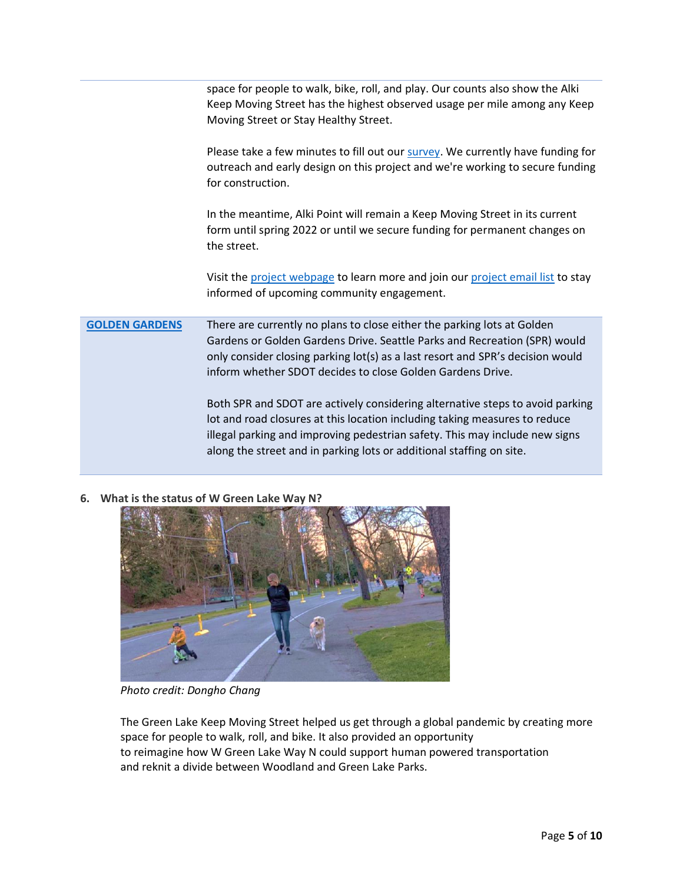|                       | space for people to walk, bike, roll, and play. Our counts also show the Alki<br>Keep Moving Street has the highest observed usage per mile among any Keep<br>Moving Street or Stay Healthy Street.                                                                                                                |
|-----------------------|--------------------------------------------------------------------------------------------------------------------------------------------------------------------------------------------------------------------------------------------------------------------------------------------------------------------|
|                       | Please take a few minutes to fill out our survey. We currently have funding for<br>outreach and early design on this project and we're working to secure funding<br>for construction.                                                                                                                              |
|                       | In the meantime, Alki Point will remain a Keep Moving Street in its current<br>form until spring 2022 or until we secure funding for permanent changes on<br>the street.                                                                                                                                           |
|                       | Visit the project webpage to learn more and join our project email list to stay<br>informed of upcoming community engagement.                                                                                                                                                                                      |
| <b>GOLDEN GARDENS</b> | There are currently no plans to close either the parking lots at Golden<br>Gardens or Golden Gardens Drive. Seattle Parks and Recreation (SPR) would<br>only consider closing parking lot(s) as a last resort and SPR's decision would<br>inform whether SDOT decides to close Golden Gardens Drive.               |
|                       | Both SPR and SDOT are actively considering alternative steps to avoid parking<br>lot and road closures at this location including taking measures to reduce<br>illegal parking and improving pedestrian safety. This may include new signs<br>along the street and in parking lots or additional staffing on site. |

**6. What is the status of W Green Lake Way N?** 



*Photo credit: Dongho Chang*

The Green Lake Keep Moving Street helped us get through a global pandemic by creating more space for people to walk, roll, and bike. It also provided an opportunity to reimagine how W Green Lake Way N could support human powered transportation and reknit a divide between Woodland and Green Lake Parks.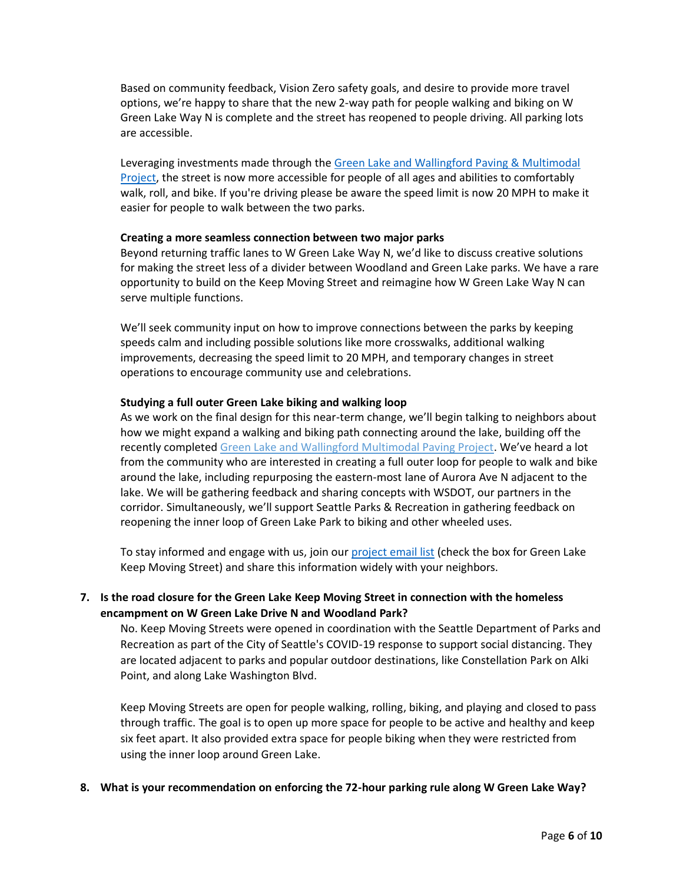Based on community feedback, Vision Zero safety goals, and desire to provide more travel options, we're happy to share that the new 2-way path for people walking and biking on W Green Lake Way N is complete and the street has reopened to people driving. All parking lots are accessible.

Leveraging investments made through th[e Green Lake and Wallingford Paving & Multimodal](https://www.seattle.gov/transportation/projects-and-programs/programs/maintenance-and-paving/current-paving-projects/green-lake-area-paving-and-safety-projects)  [Project,](https://www.seattle.gov/transportation/projects-and-programs/programs/maintenance-and-paving/current-paving-projects/green-lake-area-paving-and-safety-projects) the street is now more accessible for people of all ages and abilities to comfortably walk, roll, and bike. If you're driving please be aware the speed limit is now 20 MPH to make it easier for people to walk between the two parks.

## **Creating a more seamless connection between two major parks**

Beyond returning traffic lanes to W Green Lake Way N, we'd like to discuss creative solutions for making the street less of a divider between Woodland and Green Lake parks. We have a rare opportunity to build on the Keep Moving Street and reimagine how W Green Lake Way N can serve multiple functions.

We'll seek community input on how to improve connections between the parks by keeping speeds calm and including possible solutions like more crosswalks, additional walking improvements, decreasing the speed limit to 20 MPH, and temporary changes in street operations to encourage community use and celebrations.

## **Studying a full outer Green Lake biking and walking loop**

As we work on the final design for this near-term change, we'll begin talking to neighbors about how we might expand a walking and biking path connecting around the lake, building off the recently completed [Green Lake and Wallingford Multimodal Paving Project.](https://www.seattle.gov/transportation/projects-and-programs/programs/maintenance-and-paving/current-paving-projects/green-lake-area-paving-and-safety-projects) We've heard a lot from the community who are interested in creating a full outer loop for people to walk and bike around the lake, including repurposing the eastern-most lane of Aurora Ave N adjacent to the lake. We will be gathering feedback and sharing concepts with WSDOT, our partners in the corridor. Simultaneously, we'll support Seattle Parks & Recreation in gathering feedback on reopening the inner loop of Green Lake Park to biking and other wheeled uses.

To stay informed and engage with us, join our [project email list](https://sdotforms.envirolytical.com/projects/stay-healthy-streets) (check the box for Green Lake Keep Moving Street) and share this information widely with your neighbors.

# **7. Is the road closure for the Green Lake Keep Moving Street in connection with the homeless encampment on W Green Lake Drive N and Woodland Park?**

No. Keep Moving Streets were opened in coordination with the Seattle Department of Parks and Recreation as part of the City of Seattle's COVID-19 response to support social distancing. They are located adjacent to parks and popular outdoor destinations, like Constellation Park on Alki Point, and along Lake Washington Blvd.

Keep Moving Streets are open for people walking, rolling, biking, and playing and closed to pass through traffic. The goal is to open up more space for people to be active and healthy and keep six feet apart. It also provided extra space for people biking when they were restricted from using the inner loop around Green Lake.

#### **8. What is your recommendation on enforcing the 72-hour parking rule along W Green Lake Way?**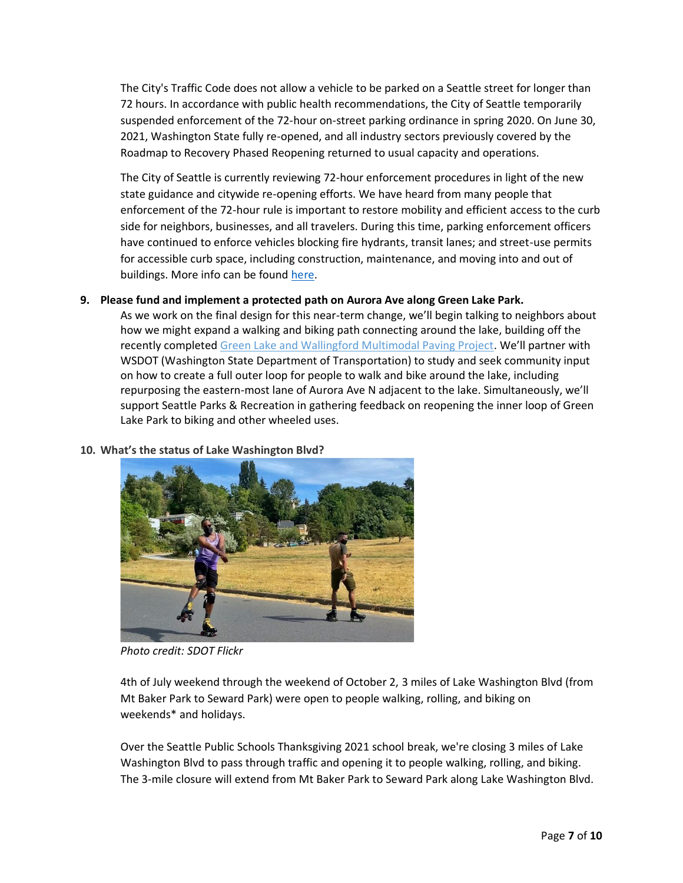The City's Traffic Code does not allow a vehicle to be parked on a Seattle street for longer than 72 hours. In accordance with public health recommendations, the City of Seattle temporarily suspended enforcement of the 72-hour on-street parking ordinance in spring 2020. On June 30, 2021, Washington State fully re-opened, and all industry sectors previously covered by the Roadmap to Recovery Phased Reopening returned to usual capacity and operations.

The City of Seattle is currently reviewing 72-hour enforcement procedures in light of the new state guidance and citywide re-opening efforts. We have heard from many people that enforcement of the 72-hour rule is important to restore mobility and efficient access to the curb side for neighbors, businesses, and all travelers. During this time, parking enforcement officers have continued to enforce vehicles blocking fire hydrants, transit lanes; and street-use permits for accessible curb space, including construction, maintenance, and moving into and out of buildings. More info can be found [here.](http://www.seattle.gov/transportation/permits-and-services/permits)

## **9. Please fund and implement a protected path on Aurora Ave along Green Lake Park.**

As we work on the final design for this near-term change, we'll begin talking to neighbors about how we might expand a walking and biking path connecting around the lake, building off the recently completed [Green Lake and Wallingford Multimodal Paving Project](https://www.seattle.gov/transportation/projects-and-programs/programs/maintenance-and-paving/current-paving-projects/green-lake-area-paving-and-safety-projects). We'll partner with WSDOT (Washington State Department of Transportation) to study and seek community input on how to create a full outer loop for people to walk and bike around the lake, including repurposing the eastern-most lane of Aurora Ave N adjacent to the lake. Simultaneously, we'll support Seattle Parks & Recreation in gathering feedback on reopening the inner loop of Green Lake Park to biking and other wheeled uses.

## **10. What's the status of Lake Washington Blvd?**



*Photo credit: SDOT Flickr*

4th of July weekend through the weekend of October 2, 3 miles of Lake Washington Blvd (from Mt Baker Park to Seward Park) were open to people walking, rolling, and biking on weekends\* and holidays.

Over the Seattle Public Schools Thanksgiving 2021 school break, we're closing 3 miles of Lake Washington Blvd to pass through traffic and opening it to people walking, rolling, and biking. The 3-mile closure will extend from Mt Baker Park to Seward Park along Lake Washington Blvd.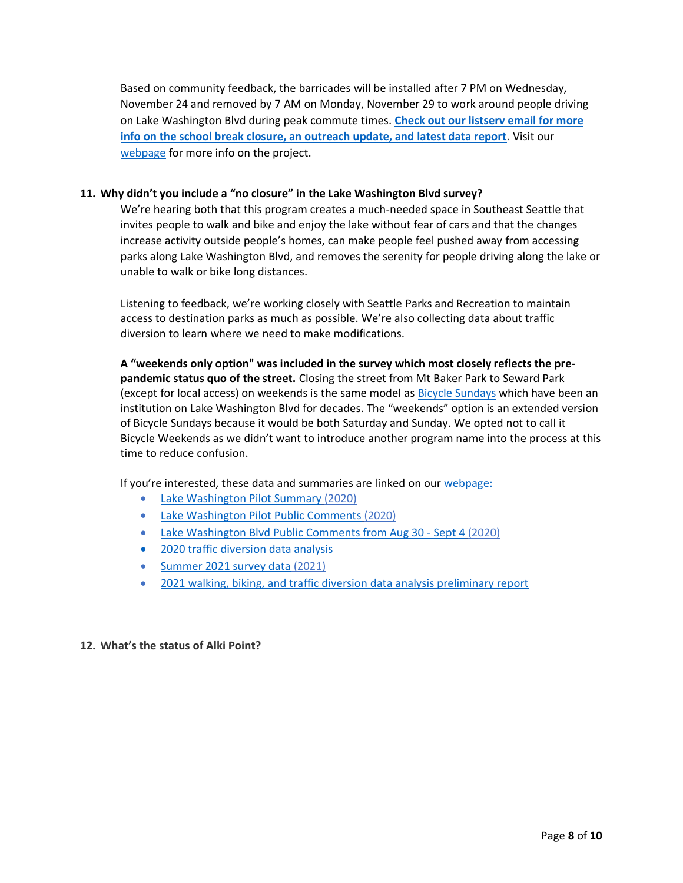Based on community feedback, the barricades will be installed after 7 PM on Wednesday, November 24 and removed by 7 AM on Monday, November 29 to work around people driving on Lake Washington Blvd during peak commute times. **[Check out our listserv email for more](https://us1.campaign-archive.com/?u=eee22a93dbc7d580ff4be885d&id=4f6eba073b)  [info on the school break closure, an outreach update, and latest data report](https://us1.campaign-archive.com/?u=eee22a93dbc7d580ff4be885d&id=4f6eba073b)**. Visit our [webpage](https://www.seattle.gov/transportation/projects-and-programs/programs/stay-healthy-streets/lake-washington-blvd-keep-moving-street) for more info on the project.

# **11. Why didn't you include a "no closure" in the Lake Washington Blvd survey?**

We're hearing both that this program creates a much-needed space in Southeast Seattle that invites people to walk and bike and enjoy the lake without fear of cars and that the changes increase activity outside people's homes, can make people feel pushed away from accessing parks along Lake Washington Blvd, and removes the serenity for people driving along the lake or unable to walk or bike long distances.

Listening to feedback, we're working closely with Seattle Parks and Recreation to maintain access to destination parks as much as possible. We're also collecting data about traffic diversion to learn where we need to make modifications.

**A "weekends only option" was included in the survey which most closely reflects the prepandemic status quo of the street.** Closing the street from Mt Baker Park to Seward Park (except for local access) on weekends is the same model as [Bicycle Sundays](https://parkways.seattle.gov/tag/bicycle-sundays/) which have been an institution on Lake Washington Blvd for decades. The "weekends" option is an extended version of Bicycle Sundays because it would be both Saturday and Sunday. We opted not to call it Bicycle Weekends as we didn't want to introduce another program name into the process at this time to reduce confusion.

If you're interested, these data and summaries are linked on our [webpage:](https://www.seattle.gov/transportation/projects-and-programs/programs/stay-healthy-streets/lake-washington-blvd-keep-moving-street)

- [Lake Washington Pilot Summary](https://www.seattle.gov/Documents/Departments/SDOT/ProjectsAndPrograms/Stay%20Healthy%20Streets/200720_LWB_Pilot_Summary.pdf) (2020)
- [Lake Washington Pilot Public Comments](https://www.seattle.gov/Documents/Departments/SDOT/ProjectsAndPrograms/Stay%20Healthy%20Streets/SHS_LWB_Pilot_Input.pdf) (2020)
- [Lake Washington Blvd Public Comments from Aug 30 -](https://www.seattle.gov/Documents/Departments/SDOT/ProjectsAndPrograms/Stay%20Healthy%20Streets/8-30_to_9-4_LWB_KMS_Comments.pdf) Sept 4 (2020)
- [2020 traffic diversion data analysis](https://www.seattle.gov/Documents/Departments/SDOT/ProjectsAndPrograms/Stay%20Healthy%20Streets/2021_RainierLkWABlvd_DataAnalysis.pdf)
- [Summer 2021 survey data](https://www.surveymonkey.com/stories/SM-9Z839L9J/) (2021)
- 2021 walking, biking, [and traffic diversion data analysis preliminary report](https://protect2.fireeye.com/v1/url?k=7f393800-20a20137-7f3910b0-86ab8bdaf1e2-6772103a2d7c9b92&q=1&e=b49159b3-0dd1-4346-967c-cfe46a292ca5&u=https%3A%2F%2Fseattle.us1.list-manage.com%2Ftrack%2Fclick%3Fu%3Deee22a93dbc7d580ff4be885d%26id%3Dbcf60c3ebc%26e%3D9cc2de6105)

**12. What's the status of Alki Point?**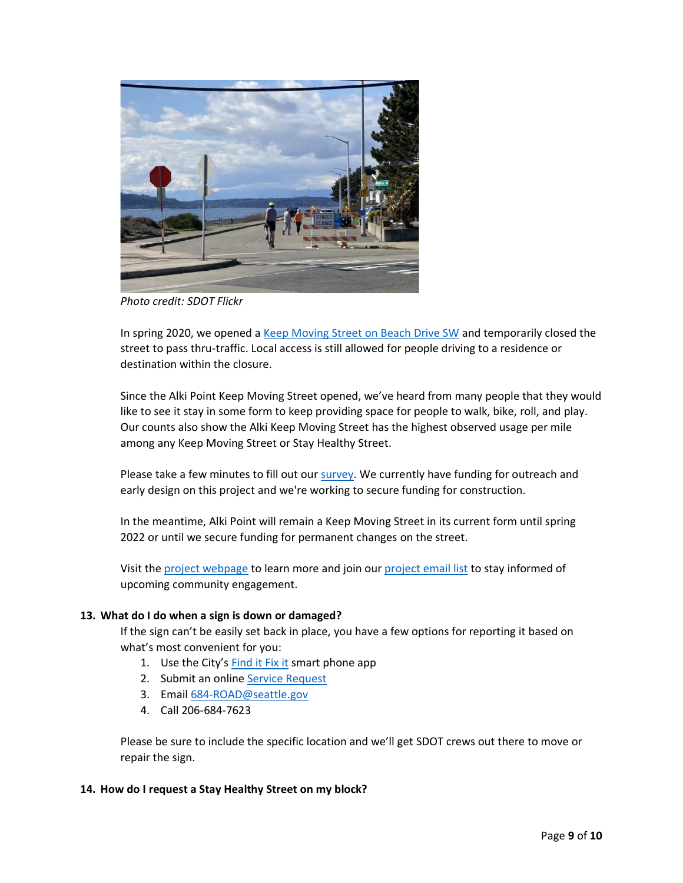

*Photo credit: SDOT Flickr*

In spring 2020, we opened a [Keep Moving Street on Beach Drive SW](https://www.seattle.gov/transportation/projects-and-programs/programs/stay-healthy-streets/alki-keep-moving-street/) and temporarily closed the street to pass thru-traffic. Local access is still allowed for people driving to a residence or destination within the closure.

Since the Alki Point Keep Moving Street opened, we've heard from many people that they would like to see it stay in some form to keep providing space for people to walk, bike, roll, and play. Our counts also show the Alki Keep Moving Street has the highest observed usage per mile among any Keep Moving Street or Stay Healthy Street.

Please take a few minutes to fill out our [survey.](https://www.surveymonkey.com/r/7ZYJNS5) We currently have funding for outreach and early design on this project and we're working to secure funding for construction.

In the meantime, Alki Point will remain a Keep Moving Street in its current form until spring 2022 or until we secure funding for permanent changes on the street.

Visit the [project webpage](https://www.seattle.gov/transportation/projects-and-programs/programs/stay-healthy-streets/alki-keep-moving-street/) to learn more and join our [project email list](https://public.govdelivery.com/accounts/WASEATTLE/subscriber/new?qsp=WASEATTLE_8) to stay informed of upcoming community engagement.

## **13. What do I do when a sign is down or damaged?**

If the sign can't be easily set back in place, you have a few options for reporting it based on what's most convenient for you:

- 1. Use the City's [Find it Fix it](https://www.seattle.gov/customer-service-bureau/find-it-fix-it-mobile-app) smart phone app
- 2. Submit an online [Service Request](https://www.seattle.gov/customer-service-bureau#popular)
- 3. Email [684-ROAD@seattle.gov](mailto:684-ROAD@seattle.gov)
- 4. Call 206-684-7623

Please be sure to include the specific location and we'll get SDOT crews out there to move or repair the sign.

#### **14. How do I request a Stay Healthy Street on my block?**